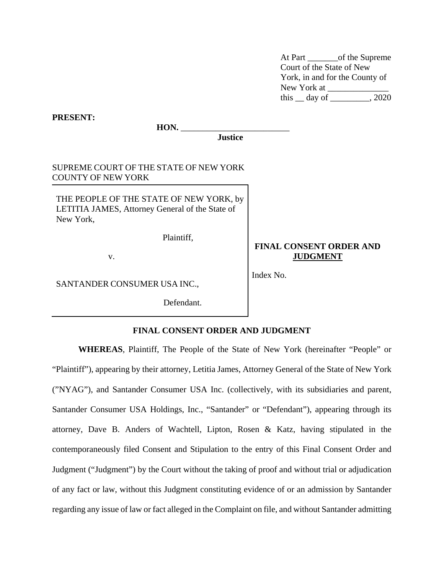At Part \_\_\_\_\_\_\_of the Supreme Court of the State of New York, in and for the County of New York at this  $\_\_$  day of  $\_\_\_\_\_$ , 2020

**PRESENT: HON. Justice** SUPREME COURT OF THE STATE OF NEW YORK COUNTY OF NEW YORK THE PEOPLE OF THE STATE OF NEW YORK, by LETITIA JAMES, Attorney General of the State of New York, Plaintiff, v. **FINAL CONSENT ORDER AND JUDGMENT** Index No.

SANTANDER CONSUMER USA INC.,

Defendant.

### **FINAL CONSENT ORDER AND JUDGMENT**

**WHEREAS**, Plaintiff, The People of the State of New York (hereinafter "People" or "Plaintiff"), appearing by their attorney, Letitia James, Attorney General of the State of New York ("NYAG"), and Santander Consumer USA Inc. (collectively, with its subsidiaries and parent, Santander Consumer USA Holdings, Inc., "Santander" or "Defendant"), appearing through its attorney, Dave B. Anders of Wachtell, Lipton, Rosen & Katz, having stipulated in the contemporaneously filed Consent and Stipulation to the entry of this Final Consent Order and Judgment ("Judgment") by the Court without the taking of proof and without trial or adjudication of any fact or law, without this Judgment constituting evidence of or an admission by Santander regarding any issue of law or fact alleged in the Complaint on file, and without Santander admitting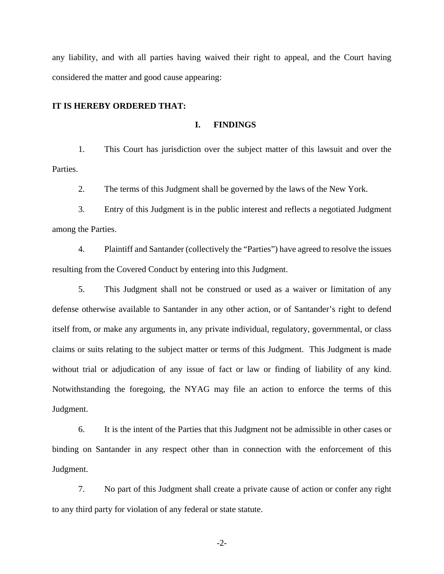any liability, and with all parties having waived their right to appeal, and the Court having considered the matter and good cause appearing:

#### **IT IS HEREBY ORDERED THAT:**

### **I. FINDINGS**

1. This Court has jurisdiction over the subject matter of this lawsuit and over the Parties.

2. The terms of this Judgment shall be governed by the laws of the New York.

3. Entry of this Judgment is in the public interest and reflects a negotiated Judgment among the Parties.

4. Plaintiff and Santander (collectively the "Parties") have agreed to resolve the issues resulting from the Covered Conduct by entering into this Judgment.

5. This Judgment shall not be construed or used as a waiver or limitation of any defense otherwise available to Santander in any other action, or of Santander's right to defend itself from, or make any arguments in, any private individual, regulatory, governmental, or class claims or suits relating to the subject matter or terms of this Judgment. This Judgment is made without trial or adjudication of any issue of fact or law or finding of liability of any kind. Notwithstanding the foregoing, the NYAG may file an action to enforce the terms of this Judgment.

6. It is the intent of the Parties that this Judgment not be admissible in other cases or binding on Santander in any respect other than in connection with the enforcement of this Judgment.

7. No part of this Judgment shall create a private cause of action or confer any right to any third party for violation of any federal or state statute.

-2-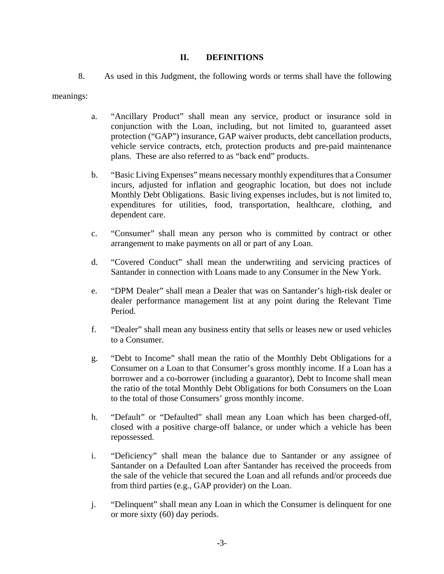## **II. DEFINITIONS**

8. As used in this Judgment, the following words or terms shall have the following

meanings:

- a. "Ancillary Product" shall mean any service, product or insurance sold in conjunction with the Loan, including, but not limited to, guaranteed asset protection ("GAP") insurance, GAP waiver products, debt cancellation products, vehicle service contracts, etch, protection products and pre-paid maintenance plans. These are also referred to as "back end" products.
- b. "Basic Living Expenses" means necessary monthly expenditures that a Consumer incurs, adjusted for inflation and geographic location, but does not include Monthly Debt Obligations. Basic living expenses includes, but is not limited to, expenditures for utilities, food, transportation, healthcare, clothing, and dependent care.
- c. "Consumer" shall mean any person who is committed by contract or other arrangement to make payments on all or part of any Loan.
- d. "Covered Conduct" shall mean the underwriting and servicing practices of Santander in connection with Loans made to any Consumer in the New York.
- e. "DPM Dealer" shall mean a Dealer that was on Santander's high-risk dealer or dealer performance management list at any point during the Relevant Time Period.
- f. "Dealer" shall mean any business entity that sells or leases new or used vehicles to a Consumer.
- g. "Debt to Income" shall mean the ratio of the Monthly Debt Obligations for a Consumer on a Loan to that Consumer's gross monthly income. If a Loan has a borrower and a co-borrower (including a guarantor), Debt to Income shall mean the ratio of the total Monthly Debt Obligations for both Consumers on the Loan to the total of those Consumers' gross monthly income.
- h. "Default" or "Defaulted" shall mean any Loan which has been charged-off, closed with a positive charge-off balance, or under which a vehicle has been repossessed.
- i. "Deficiency" shall mean the balance due to Santander or any assignee of Santander on a Defaulted Loan after Santander has received the proceeds from the sale of the vehicle that secured the Loan and all refunds and/or proceeds due from third parties (e.g., GAP provider) on the Loan.
- j. "Delinquent" shall mean any Loan in which the Consumer is delinquent for one or more sixty (60) day periods.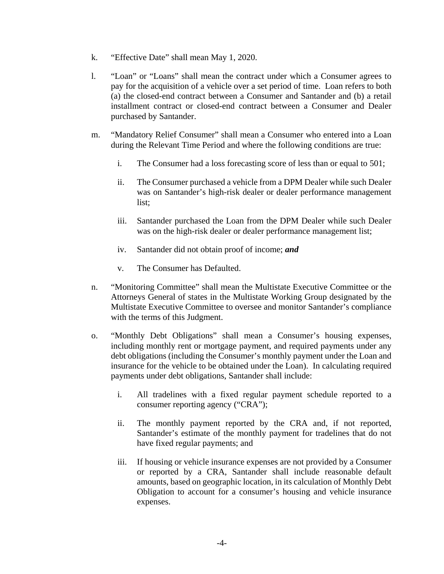- k. "Effective Date" shall mean May 1, 2020.
- l. "Loan" or "Loans" shall mean the contract under which a Consumer agrees to pay for the acquisition of a vehicle over a set period of time. Loan refers to both (a) the closed-end contract between a Consumer and Santander and (b) a retail installment contract or closed-end contract between a Consumer and Dealer purchased by Santander.
- m. "Mandatory Relief Consumer" shall mean a Consumer who entered into a Loan during the Relevant Time Period and where the following conditions are true:
	- i. The Consumer had a loss forecasting score of less than or equal to 501;
	- ii. The Consumer purchased a vehicle from a DPM Dealer while such Dealer was on Santander's high-risk dealer or dealer performance management list;
	- iii. Santander purchased the Loan from the DPM Dealer while such Dealer was on the high-risk dealer or dealer performance management list;
	- iv. Santander did not obtain proof of income; *and*
	- v. The Consumer has Defaulted.
- n. "Monitoring Committee" shall mean the Multistate Executive Committee or the Attorneys General of states in the Multistate Working Group designated by the Multistate Executive Committee to oversee and monitor Santander's compliance with the terms of this Judgment.
- o. "Monthly Debt Obligations" shall mean a Consumer's housing expenses, including monthly rent or mortgage payment, and required payments under any debt obligations (including the Consumer's monthly payment under the Loan and insurance for the vehicle to be obtained under the Loan). In calculating required payments under debt obligations, Santander shall include:
	- i. All tradelines with a fixed regular payment schedule reported to a consumer reporting agency ("CRA");
	- ii. The monthly payment reported by the CRA and, if not reported, Santander's estimate of the monthly payment for tradelines that do not have fixed regular payments; and
	- iii. If housing or vehicle insurance expenses are not provided by a Consumer or reported by a CRA, Santander shall include reasonable default amounts, based on geographic location, in its calculation of Monthly Debt Obligation to account for a consumer's housing and vehicle insurance expenses.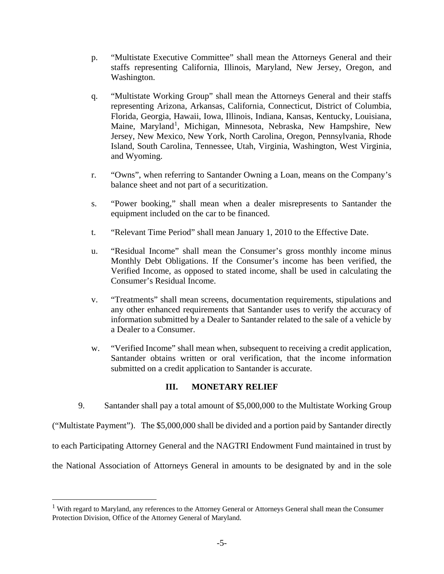- p. "Multistate Executive Committee" shall mean the Attorneys General and their staffs representing California, Illinois, Maryland, New Jersey, Oregon, and Washington.
- q. "Multistate Working Group" shall mean the Attorneys General and their staffs representing Arizona, Arkansas, California, Connecticut, District of Columbia, Florida, Georgia, Hawaii, Iowa, Illinois, Indiana, Kansas, Kentucky, Louisiana, Maine, Maryland<sup>[1](#page-4-0)</sup>, Michigan, Minnesota, Nebraska, New Hampshire, New Jersey, New Mexico, New York, North Carolina, Oregon, Pennsylvania, Rhode Island, South Carolina, Tennessee, Utah, Virginia, Washington, West Virginia, and Wyoming.
- r. "Owns", when referring to Santander Owning a Loan, means on the Company's balance sheet and not part of a securitization.
- s. "Power booking," shall mean when a dealer misrepresents to Santander the equipment included on the car to be financed.
- t. "Relevant Time Period" shall mean January 1, 2010 to the Effective Date.
- u. "Residual Income" shall mean the Consumer's gross monthly income minus Monthly Debt Obligations. If the Consumer's income has been verified, the Verified Income, as opposed to stated income, shall be used in calculating the Consumer's Residual Income.
- v. "Treatments" shall mean screens, documentation requirements, stipulations and any other enhanced requirements that Santander uses to verify the accuracy of information submitted by a Dealer to Santander related to the sale of a vehicle by a Dealer to a Consumer.
- w. "Verified Income" shall mean when, subsequent to receiving a credit application, Santander obtains written or oral verification, that the income information submitted on a credit application to Santander is accurate.

# **III. MONETARY RELIEF**

9. Santander shall pay a total amount of \$5,000,000 to the Multistate Working Group

("Multistate Payment"). The \$5,000,000 shall be divided and a portion paid by Santander directly

to each Participating Attorney General and the NAGTRI Endowment Fund maintained in trust by

the National Association of Attorneys General in amounts to be designated by and in the sole

<span id="page-4-0"></span><sup>&</sup>lt;sup>1</sup> With regard to Maryland, any references to the Attorney General or Attorneys General shall mean the Consumer Protection Division, Office of the Attorney General of Maryland.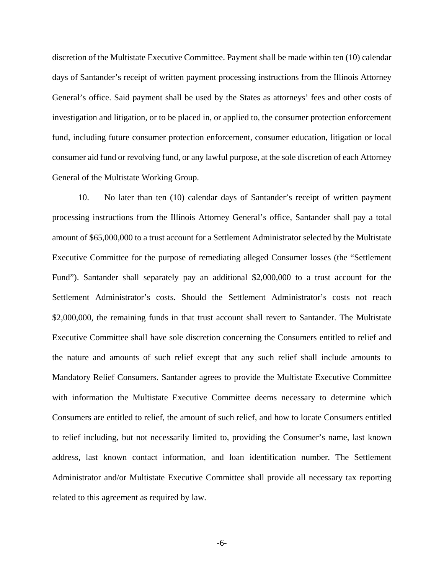discretion of the Multistate Executive Committee. Payment shall be made within ten (10) calendar days of Santander's receipt of written payment processing instructions from the Illinois Attorney General's office. Said payment shall be used by the States as attorneys' fees and other costs of investigation and litigation, or to be placed in, or applied to, the consumer protection enforcement fund, including future consumer protection enforcement, consumer education, litigation or local consumer aid fund or revolving fund, or any lawful purpose, at the sole discretion of each Attorney General of the Multistate Working Group.

10. No later than ten (10) calendar days of Santander's receipt of written payment processing instructions from the Illinois Attorney General's office, Santander shall pay a total amount of \$65,000,000 to a trust account for a Settlement Administrator selected by the Multistate Executive Committee for the purpose of remediating alleged Consumer losses (the "Settlement Fund"). Santander shall separately pay an additional \$2,000,000 to a trust account for the Settlement Administrator's costs. Should the Settlement Administrator's costs not reach \$2,000,000, the remaining funds in that trust account shall revert to Santander. The Multistate Executive Committee shall have sole discretion concerning the Consumers entitled to relief and the nature and amounts of such relief except that any such relief shall include amounts to Mandatory Relief Consumers. Santander agrees to provide the Multistate Executive Committee with information the Multistate Executive Committee deems necessary to determine which Consumers are entitled to relief, the amount of such relief, and how to locate Consumers entitled to relief including, but not necessarily limited to, providing the Consumer's name, last known address, last known contact information, and loan identification number. The Settlement Administrator and/or Multistate Executive Committee shall provide all necessary tax reporting related to this agreement as required by law.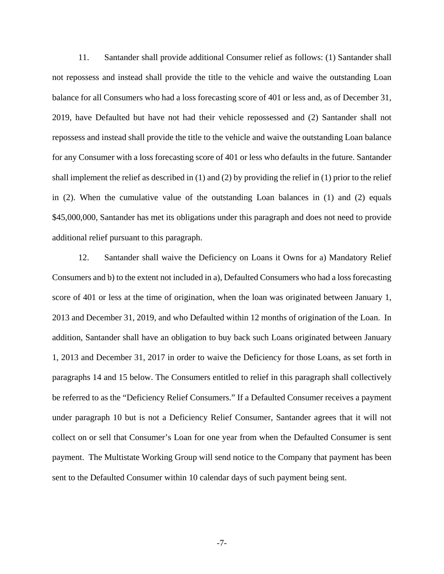11. Santander shall provide additional Consumer relief as follows: (1) Santander shall not repossess and instead shall provide the title to the vehicle and waive the outstanding Loan balance for all Consumers who had a loss forecasting score of 401 or less and, as of December 31, 2019, have Defaulted but have not had their vehicle repossessed and (2) Santander shall not repossess and instead shall provide the title to the vehicle and waive the outstanding Loan balance for any Consumer with a loss forecasting score of 401 or less who defaults in the future. Santander shall implement the relief as described in  $(1)$  and  $(2)$  by providing the relief in  $(1)$  prior to the relief in (2). When the cumulative value of the outstanding Loan balances in (1) and (2) equals \$45,000,000, Santander has met its obligations under this paragraph and does not need to provide additional relief pursuant to this paragraph.

12. Santander shall waive the Deficiency on Loans it Owns for a) Mandatory Relief Consumers and b) to the extent not included in a), Defaulted Consumers who had a loss forecasting score of 401 or less at the time of origination, when the loan was originated between January 1, 2013 and December 31, 2019, and who Defaulted within 12 months of origination of the Loan. In addition, Santander shall have an obligation to buy back such Loans originated between January 1, 2013 and December 31, 2017 in order to waive the Deficiency for those Loans, as set forth in paragraphs 14 and 15 below. The Consumers entitled to relief in this paragraph shall collectively be referred to as the "Deficiency Relief Consumers." If a Defaulted Consumer receives a payment under paragraph 10 but is not a Deficiency Relief Consumer, Santander agrees that it will not collect on or sell that Consumer's Loan for one year from when the Defaulted Consumer is sent payment. The Multistate Working Group will send notice to the Company that payment has been sent to the Defaulted Consumer within 10 calendar days of such payment being sent.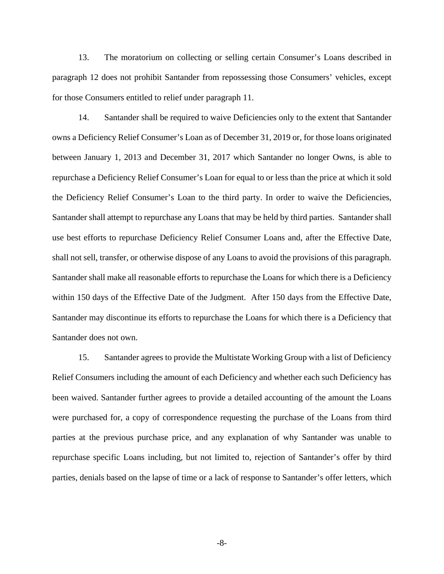13. The moratorium on collecting or selling certain Consumer's Loans described in paragraph 12 does not prohibit Santander from repossessing those Consumers' vehicles, except for those Consumers entitled to relief under paragraph 11.

14. Santander shall be required to waive Deficiencies only to the extent that Santander owns a Deficiency Relief Consumer's Loan as of December 31, 2019 or, for those loans originated between January 1, 2013 and December 31, 2017 which Santander no longer Owns, is able to repurchase a Deficiency Relief Consumer's Loan for equal to or less than the price at which it sold the Deficiency Relief Consumer's Loan to the third party. In order to waive the Deficiencies, Santander shall attempt to repurchase any Loans that may be held by third parties. Santander shall use best efforts to repurchase Deficiency Relief Consumer Loans and, after the Effective Date, shall not sell, transfer, or otherwise dispose of any Loans to avoid the provisions of this paragraph. Santander shall make all reasonable efforts to repurchase the Loans for which there is a Deficiency within 150 days of the Effective Date of the Judgment. After 150 days from the Effective Date, Santander may discontinue its efforts to repurchase the Loans for which there is a Deficiency that Santander does not own.

15. Santander agrees to provide the Multistate Working Group with a list of Deficiency Relief Consumers including the amount of each Deficiency and whether each such Deficiency has been waived. Santander further agrees to provide a detailed accounting of the amount the Loans were purchased for, a copy of correspondence requesting the purchase of the Loans from third parties at the previous purchase price, and any explanation of why Santander was unable to repurchase specific Loans including, but not limited to, rejection of Santander's offer by third parties, denials based on the lapse of time or a lack of response to Santander's offer letters, which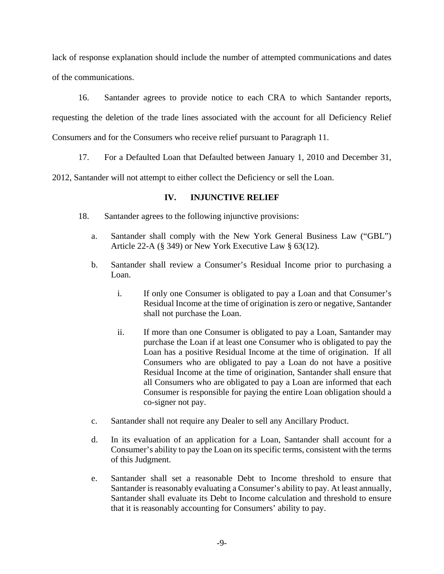lack of response explanation should include the number of attempted communications and dates of the communications.

16. Santander agrees to provide notice to each CRA to which Santander reports, requesting the deletion of the trade lines associated with the account for all Deficiency Relief Consumers and for the Consumers who receive relief pursuant to Paragraph 11.

17. For a Defaulted Loan that Defaulted between January 1, 2010 and December 31,

2012, Santander will not attempt to either collect the Deficiency or sell the Loan.

# **IV. INJUNCTIVE RELIEF**

- 18. Santander agrees to the following injunctive provisions:
	- a. Santander shall comply with the New York General Business Law ("GBL") Article 22-A (§ 349) or New York Executive Law § 63(12).
	- b. Santander shall review a Consumer's Residual Income prior to purchasing a Loan.
		- i. If only one Consumer is obligated to pay a Loan and that Consumer's Residual Income at the time of origination is zero or negative, Santander shall not purchase the Loan.
		- ii. If more than one Consumer is obligated to pay a Loan, Santander may purchase the Loan if at least one Consumer who is obligated to pay the Loan has a positive Residual Income at the time of origination. If all Consumers who are obligated to pay a Loan do not have a positive Residual Income at the time of origination, Santander shall ensure that all Consumers who are obligated to pay a Loan are informed that each Consumer is responsible for paying the entire Loan obligation should a co-signer not pay.
	- c. Santander shall not require any Dealer to sell any Ancillary Product.
	- d. In its evaluation of an application for a Loan, Santander shall account for a Consumer's ability to pay the Loan on its specific terms, consistent with the terms of this Judgment.
	- e. Santander shall set a reasonable Debt to Income threshold to ensure that Santander is reasonably evaluating a Consumer's ability to pay. At least annually, Santander shall evaluate its Debt to Income calculation and threshold to ensure that it is reasonably accounting for Consumers' ability to pay.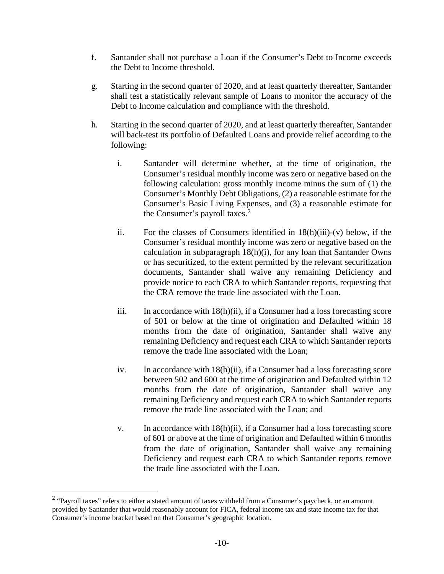- f. Santander shall not purchase a Loan if the Consumer's Debt to Income exceeds the Debt to Income threshold.
- g. Starting in the second quarter of 2020, and at least quarterly thereafter, Santander shall test a statistically relevant sample of Loans to monitor the accuracy of the Debt to Income calculation and compliance with the threshold.
- h. Starting in the second quarter of 2020, and at least quarterly thereafter, Santander will back-test its portfolio of Defaulted Loans and provide relief according to the following:
	- i. Santander will determine whether, at the time of origination, the Consumer's residual monthly income was zero or negative based on the following calculation: gross monthly income minus the sum of (1) the Consumer's Monthly Debt Obligations, (2) a reasonable estimate for the Consumer's Basic Living Expenses, and (3) a reasonable estimate for the Consumer's payroll taxes.<sup>[2](#page-9-0)</sup>
	- ii. For the classes of Consumers identified in  $18(h)(iii)-(v)$  below, if the Consumer's residual monthly income was zero or negative based on the calculation in subparagraph 18(h)(i), for any loan that Santander Owns or has securitized, to the extent permitted by the relevant securitization documents, Santander shall waive any remaining Deficiency and provide notice to each CRA to which Santander reports, requesting that the CRA remove the trade line associated with the Loan.
	- iii. In accordance with 18(h)(ii), if a Consumer had a loss forecasting score of 501 or below at the time of origination and Defaulted within 18 months from the date of origination, Santander shall waive any remaining Deficiency and request each CRA to which Santander reports remove the trade line associated with the Loan;
	- iv. In accordance with  $18(h)(ii)$ , if a Consumer had a loss forecasting score between 502 and 600 at the time of origination and Defaulted within 12 months from the date of origination, Santander shall waive any remaining Deficiency and request each CRA to which Santander reports remove the trade line associated with the Loan; and
	- v. In accordance with 18(h)(ii), if a Consumer had a loss forecasting score of 601 or above at the time of origination and Defaulted within 6 months from the date of origination, Santander shall waive any remaining Deficiency and request each CRA to which Santander reports remove the trade line associated with the Loan.

<span id="page-9-0"></span><sup>&</sup>lt;sup>2</sup> "Payroll taxes" refers to either a stated amount of taxes withheld from a Consumer's paycheck, or an amount provided by Santander that would reasonably account for FICA, federal income tax and state income tax for that Consumer's income bracket based on that Consumer's geographic location.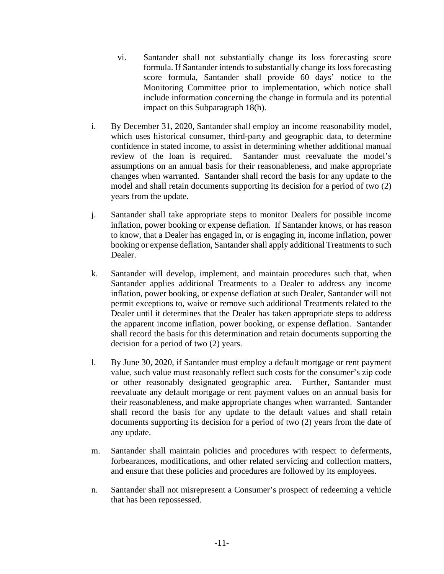- vi. Santander shall not substantially change its loss forecasting score formula. If Santander intends to substantially change its loss forecasting score formula, Santander shall provide 60 days' notice to the Monitoring Committee prior to implementation, which notice shall include information concerning the change in formula and its potential impact on this Subparagraph 18(h).
- i. By December 31, 2020, Santander shall employ an income reasonability model, which uses historical consumer, third-party and geographic data, to determine confidence in stated income, to assist in determining whether additional manual review of the loan is required. Santander must reevaluate the model's assumptions on an annual basis for their reasonableness, and make appropriate changes when warranted. Santander shall record the basis for any update to the model and shall retain documents supporting its decision for a period of two (2) years from the update.
- j. Santander shall take appropriate steps to monitor Dealers for possible income inflation, power booking or expense deflation. If Santander knows, or has reason to know, that a Dealer has engaged in, or is engaging in, income inflation, power booking or expense deflation, Santander shall apply additional Treatments to such Dealer.
- k. Santander will develop, implement, and maintain procedures such that, when Santander applies additional Treatments to a Dealer to address any income inflation, power booking, or expense deflation at such Dealer, Santander will not permit exceptions to, waive or remove such additional Treatments related to the Dealer until it determines that the Dealer has taken appropriate steps to address the apparent income inflation, power booking, or expense deflation. Santander shall record the basis for this determination and retain documents supporting the decision for a period of two (2) years.
- l. By June 30, 2020, if Santander must employ a default mortgage or rent payment value, such value must reasonably reflect such costs for the consumer's zip code or other reasonably designated geographic area. Further, Santander must reevaluate any default mortgage or rent payment values on an annual basis for their reasonableness, and make appropriate changes when warranted. Santander shall record the basis for any update to the default values and shall retain documents supporting its decision for a period of two (2) years from the date of any update.
- m. Santander shall maintain policies and procedures with respect to deferments, forbearances, modifications, and other related servicing and collection matters, and ensure that these policies and procedures are followed by its employees.
- n. Santander shall not misrepresent a Consumer's prospect of redeeming a vehicle that has been repossessed.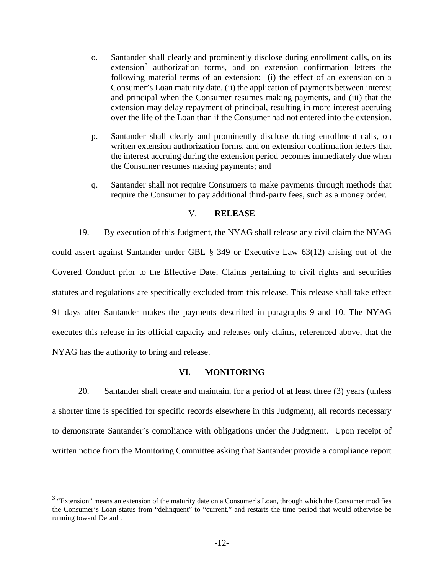- o. Santander shall clearly and prominently disclose during enrollment calls, on its extension<sup>[3](#page-11-0)</sup> authorization forms, and on extension confirmation letters the following material terms of an extension: (i) the effect of an extension on a Consumer's Loan maturity date, (ii) the application of payments between interest and principal when the Consumer resumes making payments, and (iii) that the extension may delay repayment of principal, resulting in more interest accruing over the life of the Loan than if the Consumer had not entered into the extension.
- p. Santander shall clearly and prominently disclose during enrollment calls, on written extension authorization forms, and on extension confirmation letters that the interest accruing during the extension period becomes immediately due when the Consumer resumes making payments; and
- q. Santander shall not require Consumers to make payments through methods that require the Consumer to pay additional third-party fees, such as a money order.

### V. **RELEASE**

19. By execution of this Judgment, the NYAG shall release any civil claim the NYAG could assert against Santander under GBL § 349 or Executive Law 63(12) arising out of the Covered Conduct prior to the Effective Date. Claims pertaining to civil rights and securities statutes and regulations are specifically excluded from this release. This release shall take effect 91 days after Santander makes the payments described in paragraphs 9 and 10. The NYAG executes this release in its official capacity and releases only claims, referenced above, that the NYAG has the authority to bring and release.

## **VI. MONITORING**

20. Santander shall create and maintain, for a period of at least three (3) years (unless a shorter time is specified for specific records elsewhere in this Judgment), all records necessary to demonstrate Santander's compliance with obligations under the Judgment. Upon receipt of written notice from the Monitoring Committee asking that Santander provide a compliance report

<span id="page-11-0"></span><sup>&</sup>lt;sup>3</sup> "Extension" means an extension of the maturity date on a Consumer's Loan, through which the Consumer modifies the Consumer's Loan status from "delinquent" to "current," and restarts the time period that would otherwise be running toward Default.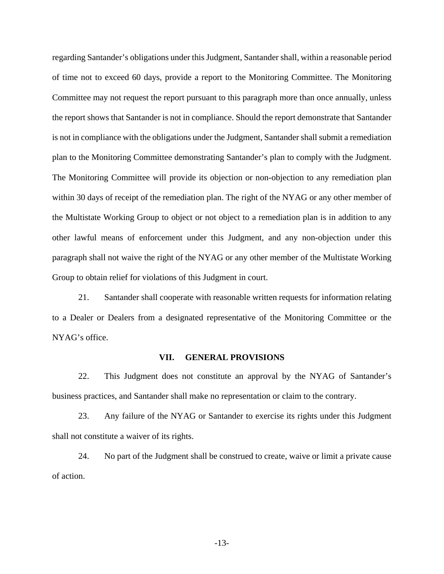regarding Santander's obligations under this Judgment, Santander shall, within a reasonable period of time not to exceed 60 days, provide a report to the Monitoring Committee. The Monitoring Committee may not request the report pursuant to this paragraph more than once annually, unless the report shows that Santander is not in compliance. Should the report demonstrate that Santander is not in compliance with the obligations under the Judgment, Santander shall submit a remediation plan to the Monitoring Committee demonstrating Santander's plan to comply with the Judgment. The Monitoring Committee will provide its objection or non-objection to any remediation plan within 30 days of receipt of the remediation plan. The right of the NYAG or any other member of the Multistate Working Group to object or not object to a remediation plan is in addition to any other lawful means of enforcement under this Judgment, and any non-objection under this paragraph shall not waive the right of the NYAG or any other member of the Multistate Working Group to obtain relief for violations of this Judgment in court.

21. Santander shall cooperate with reasonable written requests for information relating to a Dealer or Dealers from a designated representative of the Monitoring Committee or the NYAG's office.

#### **VII. GENERAL PROVISIONS**

22. This Judgment does not constitute an approval by the NYAG of Santander's business practices, and Santander shall make no representation or claim to the contrary.

23. Any failure of the NYAG or Santander to exercise its rights under this Judgment shall not constitute a waiver of its rights.

24. No part of the Judgment shall be construed to create, waive or limit a private cause of action.

-13-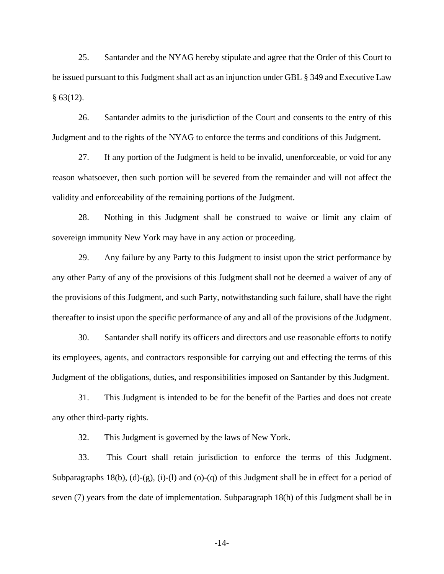25. Santander and the NYAG hereby stipulate and agree that the Order of this Court to be issued pursuant to this Judgment shall act as an injunction under GBL § 349 and Executive Law  $§ 63(12).$ 

26. Santander admits to the jurisdiction of the Court and consents to the entry of this Judgment and to the rights of the NYAG to enforce the terms and conditions of this Judgment.

27. If any portion of the Judgment is held to be invalid, unenforceable, or void for any reason whatsoever, then such portion will be severed from the remainder and will not affect the validity and enforceability of the remaining portions of the Judgment.

28. Nothing in this Judgment shall be construed to waive or limit any claim of sovereign immunity New York may have in any action or proceeding.

29. Any failure by any Party to this Judgment to insist upon the strict performance by any other Party of any of the provisions of this Judgment shall not be deemed a waiver of any of the provisions of this Judgment, and such Party, notwithstanding such failure, shall have the right thereafter to insist upon the specific performance of any and all of the provisions of the Judgment.

30. Santander shall notify its officers and directors and use reasonable efforts to notify its employees, agents, and contractors responsible for carrying out and effecting the terms of this Judgment of the obligations, duties, and responsibilities imposed on Santander by this Judgment.

31. This Judgment is intended to be for the benefit of the Parties and does not create any other third-party rights.

32. This Judgment is governed by the laws of New York.

33. This Court shall retain jurisdiction to enforce the terms of this Judgment. Subparagraphs 18(b), (d)-(g), (i)-(l) and (o)-(q) of this Judgment shall be in effect for a period of seven (7) years from the date of implementation. Subparagraph 18(h) of this Judgment shall be in

-14-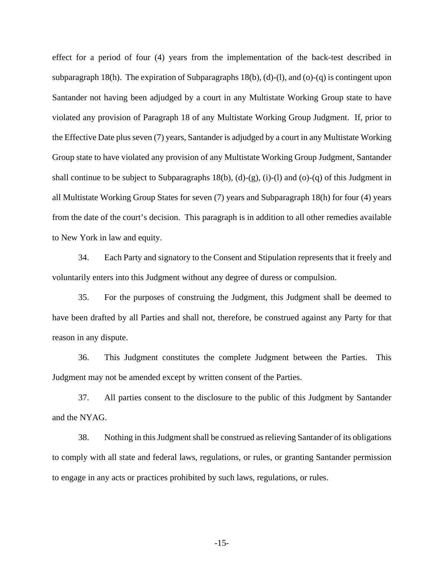effect for a period of four (4) years from the implementation of the back-test described in subparagraph 18(h). The expiration of Subparagraphs 18(b), (d)-(l), and (o)-(q) is contingent upon Santander not having been adjudged by a court in any Multistate Working Group state to have violated any provision of Paragraph 18 of any Multistate Working Group Judgment. If, prior to the Effective Date plus seven (7) years, Santander is adjudged by a court in any Multistate Working Group state to have violated any provision of any Multistate Working Group Judgment, Santander shall continue to be subject to Subparagraphs  $18(b)$ , (d)-(g), (i)-(l) and (o)-(q) of this Judgment in all Multistate Working Group States for seven (7) years and Subparagraph 18(h) for four (4) years from the date of the court's decision. This paragraph is in addition to all other remedies available to New York in law and equity.

34. Each Party and signatory to the Consent and Stipulation represents that it freely and voluntarily enters into this Judgment without any degree of duress or compulsion.

35. For the purposes of construing the Judgment, this Judgment shall be deemed to have been drafted by all Parties and shall not, therefore, be construed against any Party for that reason in any dispute.

36. This Judgment constitutes the complete Judgment between the Parties. This Judgment may not be amended except by written consent of the Parties.

37. All parties consent to the disclosure to the public of this Judgment by Santander and the NYAG.

38. Nothing in this Judgment shall be construed as relieving Santander of its obligations to comply with all state and federal laws, regulations, or rules, or granting Santander permission to engage in any acts or practices prohibited by such laws, regulations, or rules.

-15-